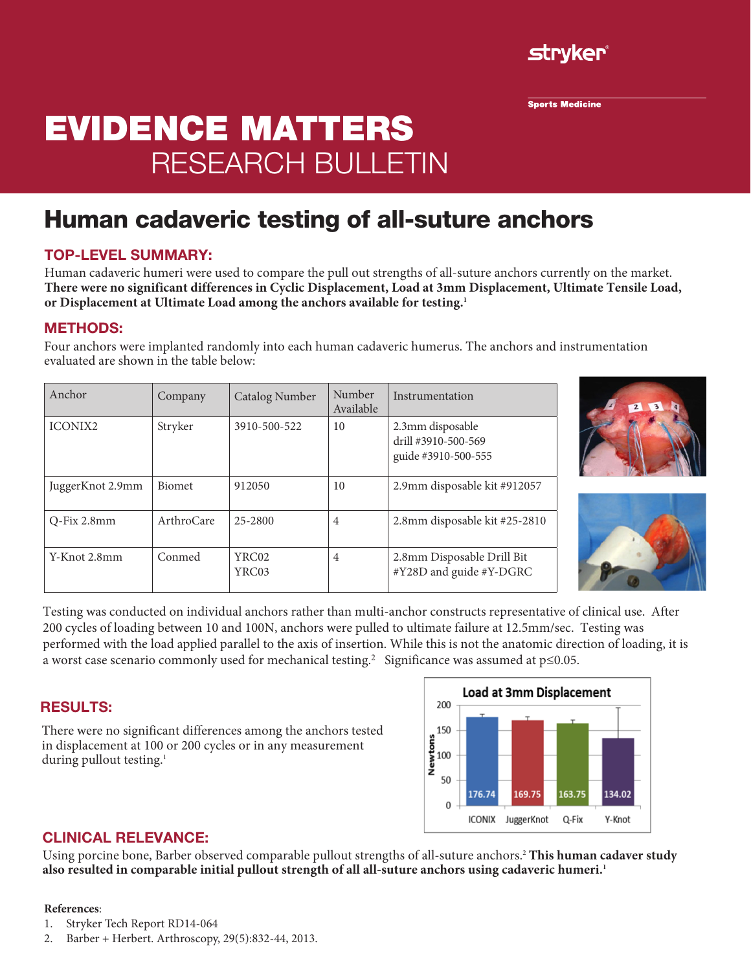

**Sports Medicine** 

# Evidence Matters research bulletin

## Human cadaveric testing of all-suture anchors

#### TOP-LEVEL SUMMARY:

Human cadaveric humeri were used to compare the pull out strengths of all-suture anchors currently on the market. **There were no significant differences in Cyclic Displacement, Load at 3mm Displacement, Ultimate Tensile Load, or Displacement at Ultimate Load among the anchors available for testing.<sup>1</sup>**

#### METHODS:

Four anchors were implanted randomly into each human cadaveric humerus. The anchors and instrumentation evaluated are shown in the table below:

| Anchor           | Company       | Catalog Number | Number<br>Available | Instrumentation                                                |
|------------------|---------------|----------------|---------------------|----------------------------------------------------------------|
| <b>ICONIX2</b>   | Stryker       | 3910-500-522   | 10                  | 2.3mm disposable<br>drill #3910-500-569<br>guide #3910-500-555 |
| JuggerKnot 2.9mm | <b>Biomet</b> | 912050         | 10                  | 2.9mm disposable kit #912057                                   |
| O-Fix 2.8mm      | ArthroCare    | 25-2800        | $\overline{4}$      | 2.8mm disposable kit #25-2810                                  |
| Y-Knot 2.8mm     | Conmed        | YRC02<br>YRC03 | $\overline{4}$      | 2.8mm Disposable Drill Bit<br>#Y28D and guide #Y-DGRC          |





Testing was conducted on individual anchors rather than multi-anchor constructs representative of clinical use. After 200 cycles of loading between 10 and 100N, anchors were pulled to ultimate failure at 12.5mm/sec. Testing was performed with the load applied parallel to the axis of insertion. While this is not the anatomic direction of loading, it is a worst case scenario commonly used for mechanical testing.<sup>2</sup> Significance was assumed at p≤0.05.

#### RESULTS:

There were no significant differences among the anchors tested in displacement at 100 or 200 cycles or in any measurement during pullout testing.<sup>1</sup>



#### CLINICAL RELEVANCE:

Using porcine bone, Barber observed comparable pullout strengths of all-suture anchors.<sup>2</sup> **This human cadaver study also resulted in comparable initial pullout strength of all all-suture anchors using cadaveric humeri.<sup>1</sup>**

#### **References**:

- 1. Stryker Tech Report RD14-064
- 2. Barber + Herbert. Arthroscopy, 29(5):832-44, 2013.